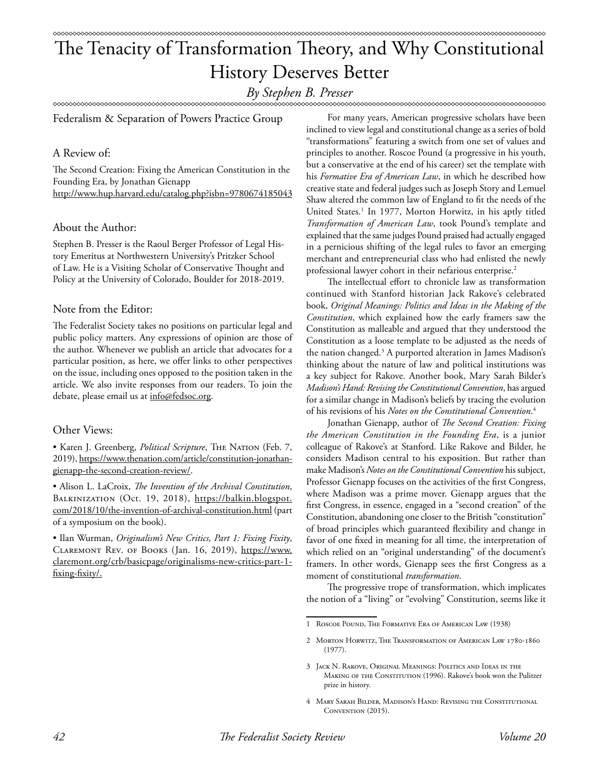# The Tenacity of Transformation Theory, and Why Constitutional History Deserves Better

## *By Stephen B. Presser*

Federalism & Separation of Powers Practice Group

#### A Review of:

The Second Creation: Fixing the American Constitution in the Founding Era, by Jonathan Gienapp http://www.hup.harvard.edu/catalog.php?isbn=9780674185043

#### About the Author:

Stephen B. Presser is the Raoul Berger Professor of Legal History Emeritus at Northwestern University's Pritzker School of Law. He is a Visiting Scholar of Conservative Thought and Policy at the University of Colorado, Boulder for 2018-2019.

#### Note from the Editor:

The Federalist Society takes no positions on particular legal and public policy matters. Any expressions of opinion are those of the author. Whenever we publish an article that advocates for a particular position, as here, we offer links to other perspectives on the issue, including ones opposed to the position taken in the article. We also invite responses from our readers. To join the debate, please email us at info@fedsoc.org.

### Other Views:

• Karen J. Greenberg, *Political Scripture*, The Nation (Feb. 7, 2019), https://www.thenation.com/article/constitution-jonathangienapp-the-second-creation-review/.

• Alison L. LaCroix, *The Invention of the Archival Constitution*, BALKINIZATION (Oct. 19, 2018), https://balkin.blogspot. com/2018/10/the-invention-of-archival-constitution.html (part of a symposium on the book).

• Ilan Wurman, *Originalism's New Critics, Part 1: Fixing Fixity*, Claremont Rev. of Books (Jan. 16, 2019), https://www. claremont.org/crb/basicpage/originalisms-new-critics-part-1 fixing-fixity/.

For many years, American progressive scholars have been inclined to view legal and constitutional change as a series of bold "transformations" featuring a switch from one set of values and principles to another. Roscoe Pound (a progressive in his youth, but a conservative at the end of his career) set the template with his *Formative Era of American Law*, in which he described how creative state and federal judges such as Joseph Story and Lemuel Shaw altered the common law of England to fit the needs of the United States.<sup>1</sup> In 1977, Morton Horwitz, in his aptly titled *Transformation of American Law*, took Pound's template and explained that the same judges Pound praised had actually engaged in a pernicious shifting of the legal rules to favor an emerging merchant and entrepreneurial class who had enlisted the newly professional lawyer cohort in their nefarious enterprise.2

The intellectual effort to chronicle law as transformation continued with Stanford historian Jack Rakove's celebrated book, *Original Meanings: Politics and Ideas in the Making of the Constitution*, which explained how the early framers saw the Constitution as malleable and argued that they understood the Constitution as a loose template to be adjusted as the needs of the nation changed.3 A purported alteration in James Madison's thinking about the nature of law and political institutions was a key subject for Rakove. Another book, Mary Sarah Bilder's *Madison's Hand: Revising the Constitutional Convention*, has argued for a similar change in Madison's beliefs by tracing the evolution of his revisions of his *Notes on the Constitutional Convention*. 4

Jonathan Gienapp, author of *The Second Creation: Fixing the American Constitution in the Founding Era*, is a junior colleague of Rakove's at Stanford. Like Rakove and Bilder, he considers Madison central to his exposition. But rather than make Madison's *Notes on the Constitutional Convention* his subject, Professor Gienapp focuses on the activities of the first Congress, where Madison was a prime mover. Gienapp argues that the first Congress, in essence, engaged in a "second creation" of the Constitution, abandoning one closer to the British "constitution" of broad principles which guaranteed flexibility and change in favor of one fixed in meaning for all time, the interpretation of which relied on an "original understanding" of the document's framers. In other words, Gienapp sees the first Congress as a moment of constitutional *transformation*.

The progressive trope of transformation, which implicates the notion of a "living" or "evolving" Constitution, seems like it

<sup>1</sup> Roscoe Pound, The Formative Era of American Law (1938)

<sup>2</sup> Morton Horwitz, The Transformation of American Law 1780-1860 (1977).

<sup>3</sup> Jack N. Rakove, Original Meanings: Politics and Ideas in the MAKING OF THE CONSTITUTION (1996). Rakove's book won the Pulitzer prize in history.

<sup>4</sup> Mary Sarah Bilder, Madison's Hand: Revising the Constitutional CONVENTION (2015).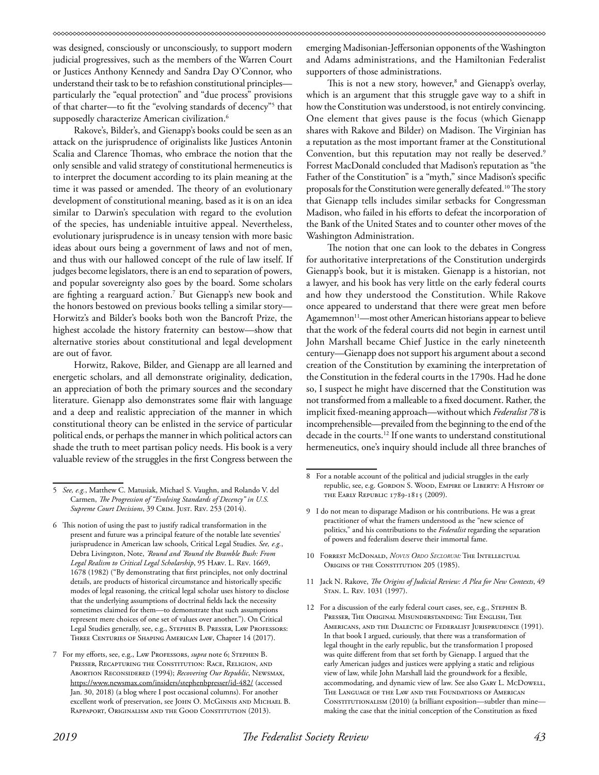was designed, consciously or unconsciously, to support modern judicial progressives, such as the members of the Warren Court or Justices Anthony Kennedy and Sandra Day O'Connor, who understand their task to be to refashion constitutional principles particularly the "equal protection" and "due process" provisions of that charter—to fit the "evolving standards of decency"5 that supposedly characterize American civilization.<sup>6</sup>

Rakove's, Bilder's, and Gienapp's books could be seen as an attack on the jurisprudence of originalists like Justices Antonin Scalia and Clarence Thomas, who embrace the notion that the only sensible and valid strategy of constitutional hermeneutics is to interpret the document according to its plain meaning at the time it was passed or amended. The theory of an evolutionary development of constitutional meaning, based as it is on an idea similar to Darwin's speculation with regard to the evolution of the species, has undeniable intuitive appeal. Nevertheless, evolutionary jurisprudence is in uneasy tension with more basic ideas about ours being a government of laws and not of men, and thus with our hallowed concept of the rule of law itself. If judges become legislators, there is an end to separation of powers, and popular sovereignty also goes by the board. Some scholars are fighting a rearguard action.7 But Gienapp's new book and the honors bestowed on previous books telling a similar story— Horwitz's and Bilder's books both won the Bancroft Prize, the highest accolade the history fraternity can bestow—show that alternative stories about constitutional and legal development are out of favor.

Horwitz, Rakove, Bilder, and Gienapp are all learned and energetic scholars, and all demonstrate originality, dedication, an appreciation of both the primary sources and the secondary literature. Gienapp also demonstrates some flair with language and a deep and realistic appreciation of the manner in which constitutional theory can be enlisted in the service of particular political ends, or perhaps the manner in which political actors can shade the truth to meet partisan policy needs. His book is a very valuable review of the struggles in the first Congress between the

emerging Madisonian-Jeffersonian opponents of the Washington and Adams administrations, and the Hamiltonian Federalist supporters of those administrations.

This is not a new story, however,<sup>8</sup> and Gienapp's overlay, which is an argument that this struggle gave way to a shift in how the Constitution was understood, is not entirely convincing. One element that gives pause is the focus (which Gienapp shares with Rakove and Bilder) on Madison. The Virginian has a reputation as the most important framer at the Constitutional Convention, but this reputation may not really be deserved.<sup>9</sup> Forrest MacDonald concluded that Madison's reputation as "the Father of the Constitution" is a "myth," since Madison's specific proposals for the Constitution were generally defeated.10 The story that Gienapp tells includes similar setbacks for Congressman Madison, who failed in his efforts to defeat the incorporation of the Bank of the United States and to counter other moves of the Washington Administration.

The notion that one can look to the debates in Congress for authoritative interpretations of the Constitution undergirds Gienapp's book, but it is mistaken. Gienapp is a historian, not a lawyer, and his book has very little on the early federal courts and how they understood the Constitution. While Rakove once appeared to understand that there were great men before Agamemnon<sup>11</sup>—most other American historians appear to believe that the work of the federal courts did not begin in earnest until John Marshall became Chief Justice in the early nineteenth century—Gienapp does not support his argument about a second creation of the Constitution by examining the interpretation of the Constitution in the federal courts in the 1790s. Had he done so, I suspect he might have discerned that the Constitution was not transformed from a malleable to a fixed document. Rather, the implicit fixed-meaning approach—without which *Federalist 78* is incomprehensible—prevailed from the beginning to the end of the decade in the courts.12 If one wants to understand constitutional hermeneutics, one's inquiry should include all three branches of

- 10 Forrest McDonald, *Novus Ordo Seclorum:* The Intellectual ORIGINS OF THE CONSTITUTION 205 (1985).
- 11 Jack N. Rakove, *The Origins of Judicial Review: A Plea for New Contexts*, 49 Stan. L. Rev. 1031 (1997).
- 12 For a discussion of the early federal court cases, see, e.g., Stephen B. Presser, The Original Misunderstanding: The English, The Americans, and the Dialectic of Federalist Jurisprudence (1991). In that book I argued, curiously, that there was a transformation of legal thought in the early republic, but the transformation I proposed was quite different from that set forth by Gienapp. I argued that the early American judges and justices were applying a static and religious view of law, while John Marshall laid the groundwork for a flexible, accommodating, and dynamic view of law. See also GARY L. McDowELL, The Language of the Law and the Foundations of American CONSTITUTIONALISM (2010) (a brilliant exposition—subtler than minemaking the case that the initial conception of the Constitution as fixed

<sup>5</sup> *See, e.g.*, Matthew C. Matusiak, Michael S. Vaughn, and Rolando V. del Carmen, *The Progression of "Evolving Standards of Decency" in U.S.*  Supreme Court Decisions, 39 CRIM. JUST. REV. 253 (2014).

<sup>6</sup> This notion of using the past to justify radical transformation in the present and future was a principal feature of the notable late seventies' jurisprudence in American law schools, Critical Legal Studies. *See, e.g.*, Debra Livingston, Note, *'Round and 'Round the Bramble Bush: From Legal Realism to Critical Legal Scholarship*, 95 Harv. L. Rev. 1669, 1678 (1982) ("By demonstrating that first principles, not only doctrinal details, are products of historical circumstance and historically specific modes of legal reasoning, the critical legal scholar uses history to disclose that the underlying assumptions of doctrinal fields lack the necessity sometimes claimed for them—to demonstrate that such assumptions represent mere choices of one set of values over another."). On Critical Legal Studies generally, see, e.g., STEPHEN B. PRESSER, LAW PROFESSORS: Three Centuries of Shaping American Law, Chapter 14 (2017).

<sup>7</sup> For my efforts, see, e.g., Law Professors, *supra* note 6; Stephen B. Presser, Recapturing the Constitution: Race, Religion, and Abortion Reconsidered (1994); *Recovering Our Republic*, Newsmax, https://www.newsmax.com/insiders/stephenbpresser/id-482/ (accessed Jan. 30, 2018) (a blog where I post occasional columns). For another excellent work of preservation, see JOHN O. McGINNIS AND MICHAEL B. Rappaport, Originalism and the Good Constitution (2013).

<sup>8</sup> For a notable account of the political and judicial struggles in the early republic, see, e.g. Gordon S. Wood, Empire of Liberty: A History of the Early Republic 1789-1815 (2009).

<sup>9</sup> I do not mean to disparage Madison or his contributions. He was a great practitioner of what the framers understood as the "new science of politics," and his contributions to the *Federalist* regarding the separation of powers and federalism deserve their immortal fame.